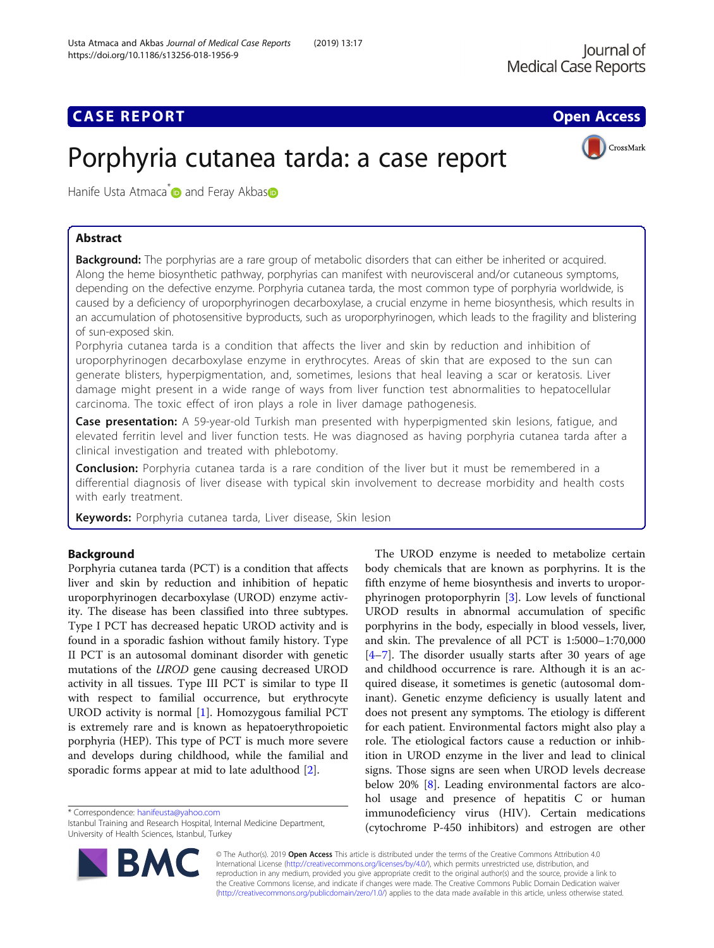## **CASE REPORT CASE ACCESS**

# Porphyria cutanea tarda: a case report



Hanife U[s](http://orcid.org/0000-0001-5091-9160)ta Atmaca<sup>\*</sup> and Feray Akbas<sup>®</sup>

## Abstract

Background: The porphyrias are a rare group of metabolic disorders that can either be inherited or acquired. Along the heme biosynthetic pathway, porphyrias can manifest with neurovisceral and/or cutaneous symptoms, depending on the defective enzyme. Porphyria cutanea tarda, the most common type of porphyria worldwide, is caused by a deficiency of uroporphyrinogen decarboxylase, a crucial enzyme in heme biosynthesis, which results in an accumulation of photosensitive byproducts, such as uroporphyrinogen, which leads to the fragility and blistering of sun-exposed skin.

Porphyria cutanea tarda is a condition that affects the liver and skin by reduction and inhibition of uroporphyrinogen decarboxylase enzyme in erythrocytes. Areas of skin that are exposed to the sun can generate blisters, hyperpigmentation, and, sometimes, lesions that heal leaving a scar or keratosis. Liver damage might present in a wide range of ways from liver function test abnormalities to hepatocellular carcinoma. The toxic effect of iron plays a role in liver damage pathogenesis.

Case presentation: A 59-year-old Turkish man presented with hyperpigmented skin lesions, fatigue, and elevated ferritin level and liver function tests. He was diagnosed as having porphyria cutanea tarda after a clinical investigation and treated with phlebotomy.

**Conclusion:** Porphyria cutanea tarda is a rare condition of the liver but it must be remembered in a differential diagnosis of liver disease with typical skin involvement to decrease morbidity and health costs with early treatment.

Keywords: Porphyria cutanea tarda, Liver disease, Skin lesion

## Background

Porphyria cutanea tarda (PCT) is a condition that affects liver and skin by reduction and inhibition of hepatic uroporphyrinogen decarboxylase (UROD) enzyme activity. The disease has been classified into three subtypes. Type I PCT has decreased hepatic UROD activity and is found in a sporadic fashion without family history. Type II PCT is an autosomal dominant disorder with genetic mutations of the UROD gene causing decreased UROD activity in all tissues. Type III PCT is similar to type II with respect to familial occurrence, but erythrocyte UROD activity is normal [[1\]](#page-3-0). Homozygous familial PCT is extremely rare and is known as hepatoerythropoietic porphyria (HEP). This type of PCT is much more severe and develops during childhood, while the familial and sporadic forms appear at mid to late adulthood [\[2](#page-3-0)].

\* Correspondence: [hanifeusta@yahoo.com](mailto:hanifeusta@yahoo.com)

Istanbul Training and Research Hospital, Internal Medicine Department, University of Health Sciences, Istanbul, Turkey



The UROD enzyme is needed to metabolize certain body chemicals that are known as porphyrins. It is the fifth enzyme of heme biosynthesis and inverts to uroporphyrinogen protoporphyrin [\[3](#page-3-0)]. Low levels of functional UROD results in abnormal accumulation of specific porphyrins in the body, especially in blood vessels, liver, and skin. The prevalence of all PCT is 1:5000–1:70,000 [[4](#page-3-0)–[7\]](#page-3-0). The disorder usually starts after 30 years of age and childhood occurrence is rare. Although it is an acquired disease, it sometimes is genetic (autosomal dominant). Genetic enzyme deficiency is usually latent and does not present any symptoms. The etiology is different for each patient. Environmental factors might also play a role. The etiological factors cause a reduction or inhibition in UROD enzyme in the liver and lead to clinical signs. Those signs are seen when UROD levels decrease below 20% [[8\]](#page-3-0). Leading environmental factors are alcohol usage and presence of hepatitis C or human immunodeficiency virus (HIV). Certain medications (cytochrome P-450 inhibitors) and estrogen are other

© The Author(s). 2019 Open Access This article is distributed under the terms of the Creative Commons Attribution 4.0 International License [\(http://creativecommons.org/licenses/by/4.0/](http://creativecommons.org/licenses/by/4.0/)), which permits unrestricted use, distribution, and reproduction in any medium, provided you give appropriate credit to the original author(s) and the source, provide a link to the Creative Commons license, and indicate if changes were made. The Creative Commons Public Domain Dedication waiver [\(http://creativecommons.org/publicdomain/zero/1.0/](http://creativecommons.org/publicdomain/zero/1.0/)) applies to the data made available in this article, unless otherwise stated.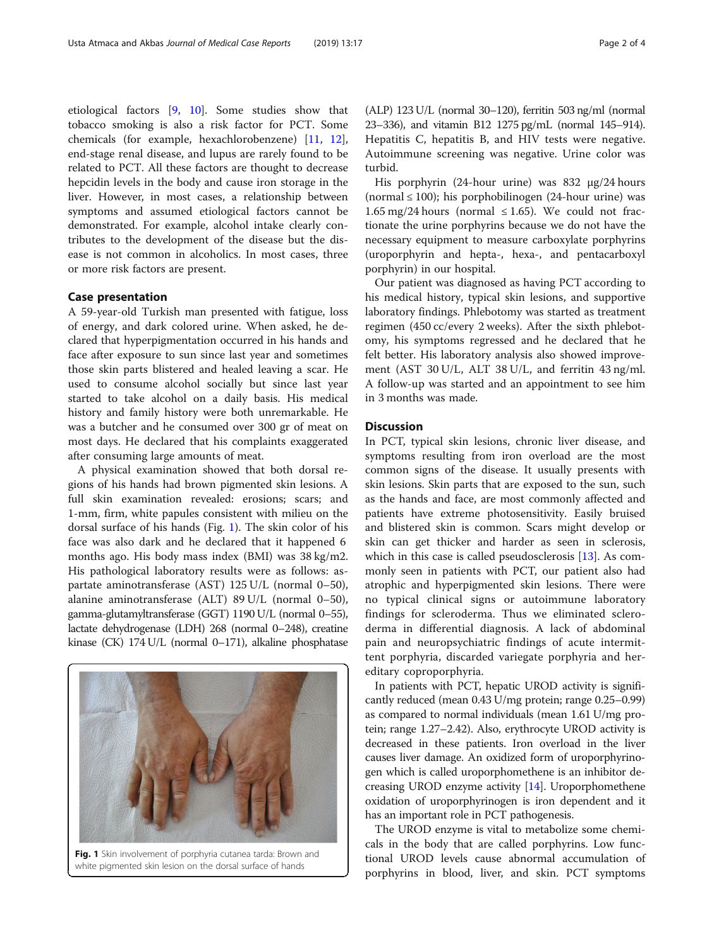etiological factors [\[9](#page-3-0), [10\]](#page-3-0). Some studies show that tobacco smoking is also a risk factor for PCT. Some chemicals (for example, hexachlorobenzene) [\[11](#page-3-0), [12](#page-3-0)], end-stage renal disease, and lupus are rarely found to be related to PCT. All these factors are thought to decrease hepcidin levels in the body and cause iron storage in the liver. However, in most cases, a relationship between symptoms and assumed etiological factors cannot be demonstrated. For example, alcohol intake clearly contributes to the development of the disease but the disease is not common in alcoholics. In most cases, three or more risk factors are present.

#### Case presentation

A 59-year-old Turkish man presented with fatigue, loss of energy, and dark colored urine. When asked, he declared that hyperpigmentation occurred in his hands and face after exposure to sun since last year and sometimes those skin parts blistered and healed leaving a scar. He used to consume alcohol socially but since last year started to take alcohol on a daily basis. His medical history and family history were both unremarkable. He was a butcher and he consumed over 300 gr of meat on most days. He declared that his complaints exaggerated after consuming large amounts of meat.

A physical examination showed that both dorsal regions of his hands had brown pigmented skin lesions. A full skin examination revealed: erosions; scars; and 1-mm, firm, white papules consistent with milieu on the dorsal surface of his hands (Fig. 1). The skin color of his face was also dark and he declared that it happened 6 months ago. His body mass index (BMI) was 38 kg/m2. His pathological laboratory results were as follows: aspartate aminotransferase (AST) 125 U/L (normal 0–50), alanine aminotransferase (ALT) 89 U/L (normal 0–50), gamma-glutamyltransferase (GGT) 1190 U/L (normal 0–55), lactate dehydrogenase (LDH) 268 (normal 0–248), creatine kinase (CK) 174 U/L (normal 0–171), alkaline phosphatase

(ALP) 123 U/L (normal 30–120), ferritin 503 ng/ml (normal 23–336), and vitamin B12 1275 pg/mL (normal 145–914). Hepatitis C, hepatitis B, and HIV tests were negative. Autoimmune screening was negative. Urine color was turbid.

His porphyrin (24-hour urine) was 832 μg/24 hours (normal  $\leq 100$ ); his porphobilinogen (24-hour urine) was  $1.65 \text{ mg}/24 \text{ hours}$  (normal  $\leq 1.65$ ). We could not fractionate the urine porphyrins because we do not have the necessary equipment to measure carboxylate porphyrins (uroporphyrin and hepta-, hexa-, and pentacarboxyl porphyrin) in our hospital.

Our patient was diagnosed as having PCT according to his medical history, typical skin lesions, and supportive laboratory findings. Phlebotomy was started as treatment regimen (450 cc/every 2 weeks). After the sixth phlebotomy, his symptoms regressed and he declared that he felt better. His laboratory analysis also showed improvement (AST 30 U/L, ALT 38 U/L, and ferritin 43 ng/ml. A follow-up was started and an appointment to see him in 3 months was made.

### **Discussion**

In PCT, typical skin lesions, chronic liver disease, and symptoms resulting from iron overload are the most common signs of the disease. It usually presents with skin lesions. Skin parts that are exposed to the sun, such as the hands and face, are most commonly affected and patients have extreme photosensitivity. Easily bruised and blistered skin is common. Scars might develop or skin can get thicker and harder as seen in sclerosis, which in this case is called pseudosclerosis [[13](#page-3-0)]. As commonly seen in patients with PCT, our patient also had atrophic and hyperpigmented skin lesions. There were no typical clinical signs or autoimmune laboratory findings for scleroderma. Thus we eliminated scleroderma in differential diagnosis. A lack of abdominal pain and neuropsychiatric findings of acute intermittent porphyria, discarded variegate porphyria and hereditary coproporphyria.

In patients with PCT, hepatic UROD activity is significantly reduced (mean 0.43 U/mg protein; range 0.25–0.99) as compared to normal individuals (mean 1.61 U/mg protein; range 1.27–2.42). Also, erythrocyte UROD activity is decreased in these patients. Iron overload in the liver causes liver damage. An oxidized form of uroporphyrinogen which is called uroporphomethene is an inhibitor decreasing UROD enzyme activity [[14](#page-3-0)]. Uroporphomethene oxidation of uroporphyrinogen is iron dependent and it has an important role in PCT pathogenesis.

The UROD enzyme is vital to metabolize some chemicals in the body that are called porphyrins. Low functional UROD levels cause abnormal accumulation of porphyrins in blood, liver, and skin. PCT symptoms

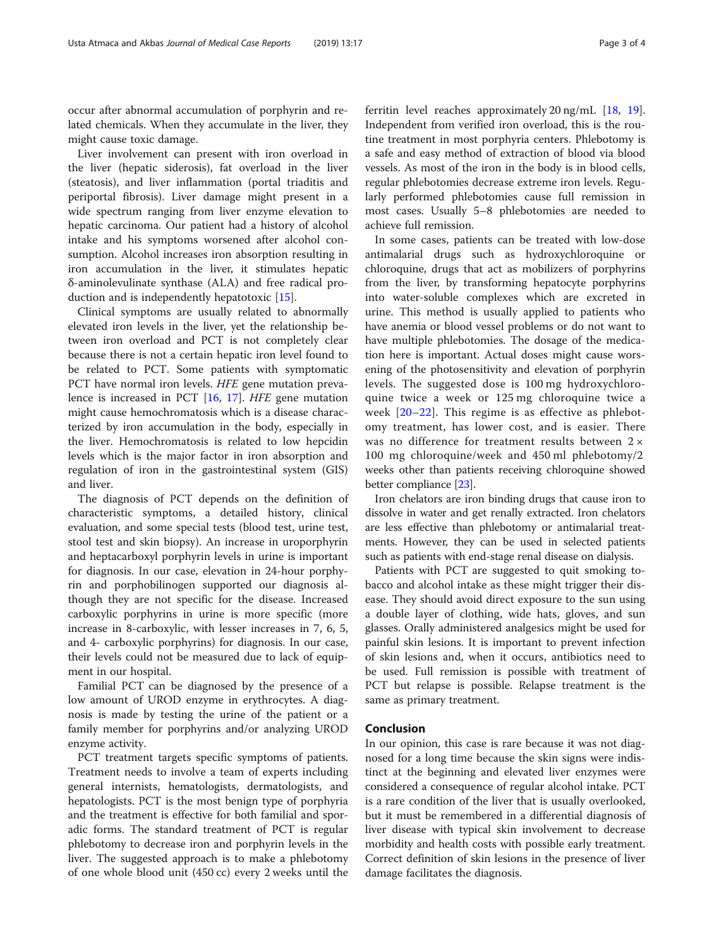occur after abnormal accumulation of porphyrin and related chemicals. When they accumulate in the liver, they might cause toxic damage.

Liver involvement can present with iron overload in the liver (hepatic siderosis), fat overload in the liver (steatosis), and liver inflammation (portal triaditis and periportal fibrosis). Liver damage might present in a wide spectrum ranging from liver enzyme elevation to hepatic carcinoma. Our patient had a history of alcohol intake and his symptoms worsened after alcohol consumption. Alcohol increases iron absorption resulting in iron accumulation in the liver, it stimulates hepatic δ-aminolevulinate synthase (ALA) and free radical production and is independently hepatotoxic [[15](#page-3-0)].

Clinical symptoms are usually related to abnormally elevated iron levels in the liver, yet the relationship between iron overload and PCT is not completely clear because there is not a certain hepatic iron level found to be related to PCT. Some patients with symptomatic PCT have normal iron levels. HFE gene mutation prevalence is increased in PCT [[16,](#page-3-0) [17\]](#page-3-0). HFE gene mutation might cause hemochromatosis which is a disease characterized by iron accumulation in the body, especially in the liver. Hemochromatosis is related to low hepcidin levels which is the major factor in iron absorption and regulation of iron in the gastrointestinal system (GIS) and liver.

The diagnosis of PCT depends on the definition of characteristic symptoms, a detailed history, clinical evaluation, and some special tests (blood test, urine test, stool test and skin biopsy). An increase in uroporphyrin and heptacarboxyl porphyrin levels in urine is important for diagnosis. In our case, elevation in 24-hour porphyrin and porphobilinogen supported our diagnosis although they are not specific for the disease. Increased carboxylic porphyrins in urine is more specific (more increase in 8-carboxylic, with lesser increases in 7, 6, 5, and 4- carboxylic porphyrins) for diagnosis. In our case, their levels could not be measured due to lack of equipment in our hospital.

Familial PCT can be diagnosed by the presence of a low amount of UROD enzyme in erythrocytes. A diagnosis is made by testing the urine of the patient or a family member for porphyrins and/or analyzing UROD enzyme activity.

PCT treatment targets specific symptoms of patients. Treatment needs to involve a team of experts including general internists, hematologists, dermatologists, and hepatologists. PCT is the most benign type of porphyria and the treatment is effective for both familial and sporadic forms. The standard treatment of PCT is regular phlebotomy to decrease iron and porphyrin levels in the liver. The suggested approach is to make a phlebotomy of one whole blood unit (450 cc) every 2 weeks until the ferritin level reaches approximately 20 ng/mL [\[18,](#page-3-0) [19](#page-3-0)]. Independent from verified iron overload, this is the routine treatment in most porphyria centers. Phlebotomy is a safe and easy method of extraction of blood via blood vessels. As most of the iron in the body is in blood cells, regular phlebotomies decrease extreme iron levels. Regularly performed phlebotomies cause full remission in most cases. Usually 5–8 phlebotomies are needed to achieve full remission.

In some cases, patients can be treated with low-dose antimalarial drugs such as hydroxychloroquine or chloroquine, drugs that act as mobilizers of porphyrins from the liver, by transforming hepatocyte porphyrins into water-soluble complexes which are excreted in urine. This method is usually applied to patients who have anemia or blood vessel problems or do not want to have multiple phlebotomies. The dosage of the medication here is important. Actual doses might cause worsening of the photosensitivity and elevation of porphyrin levels. The suggested dose is 100 mg hydroxychloroquine twice a week or 125 mg chloroquine twice a week [[20](#page-3-0)–[22](#page-3-0)]. This regime is as effective as phlebotomy treatment, has lower cost, and is easier. There was no difference for treatment results between 2 × 100 mg chloroquine/week and 450 ml phlebotomy/2 weeks other than patients receiving chloroquine showed better compliance [\[23\]](#page-3-0).

Iron chelators are iron binding drugs that cause iron to dissolve in water and get renally extracted. Iron chelators are less effective than phlebotomy or antimalarial treatments. However, they can be used in selected patients such as patients with end-stage renal disease on dialysis.

Patients with PCT are suggested to quit smoking tobacco and alcohol intake as these might trigger their disease. They should avoid direct exposure to the sun using a double layer of clothing, wide hats, gloves, and sun glasses. Orally administered analgesics might be used for painful skin lesions. It is important to prevent infection of skin lesions and, when it occurs, antibiotics need to be used. Full remission is possible with treatment of PCT but relapse is possible. Relapse treatment is the same as primary treatment.

#### Conclusion

In our opinion, this case is rare because it was not diagnosed for a long time because the skin signs were indistinct at the beginning and elevated liver enzymes were considered a consequence of regular alcohol intake. PCT is a rare condition of the liver that is usually overlooked, but it must be remembered in a differential diagnosis of liver disease with typical skin involvement to decrease morbidity and health costs with possible early treatment. Correct definition of skin lesions in the presence of liver damage facilitates the diagnosis.